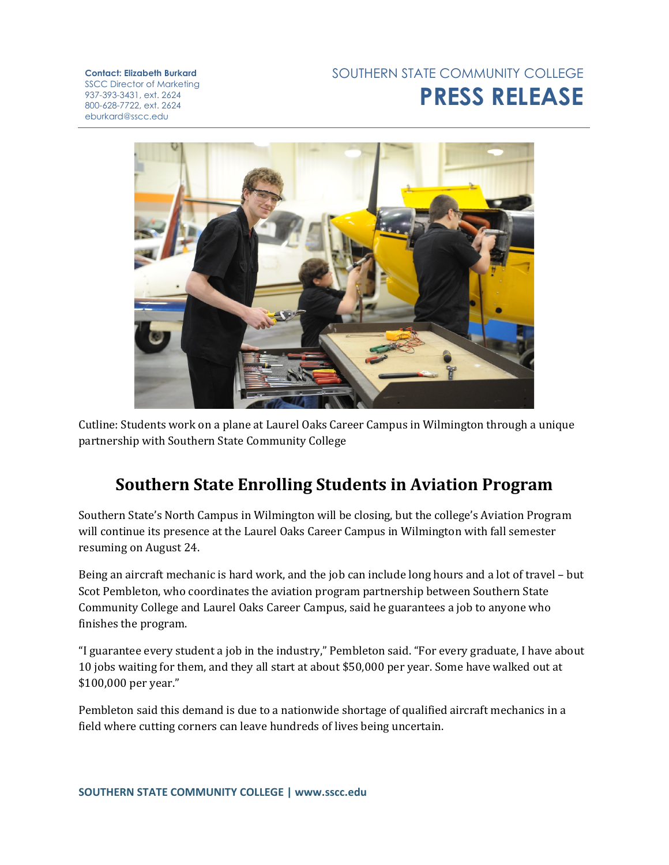## SOUTHERN STATE COMMUNITY COLLEGE **PRESS RELEASE**

**Contact: Elizabeth Burkard** SSCC Director of Marketing 937-393-3431, ext. 2624 800-628-7722, ext. 2624 eburkard@sscc.edu



Cutline: Students work on a plane at Laurel Oaks Career Campus in Wilmington through a unique partnership with Southern State Community College

## **Southern State Enrolling Students in Aviation Program**

Southern State's North Campus in Wilmington will be closing, but the college's Aviation Program will continue its presence at the Laurel Oaks Career Campus in Wilmington with fall semester resuming on August 24.

Being an aircraft mechanic is hard work, and the job can include long hours and a lot of travel – but Scot Pembleton, who coordinates the aviation program partnership between Southern State Community College and Laurel Oaks Career Campus, said he guarantees a job to anyone who finishes the program.

"I guarantee every student a job in the industry," Pembleton said. "For every graduate, I have about 10 jobs waiting for them, and they all start at about \$50,000 per year. Some have walked out at \$100,000 per year."

Pembleton said this demand is due to a nationwide shortage of qualified aircraft mechanics in a field where cutting corners can leave hundreds of lives being uncertain.